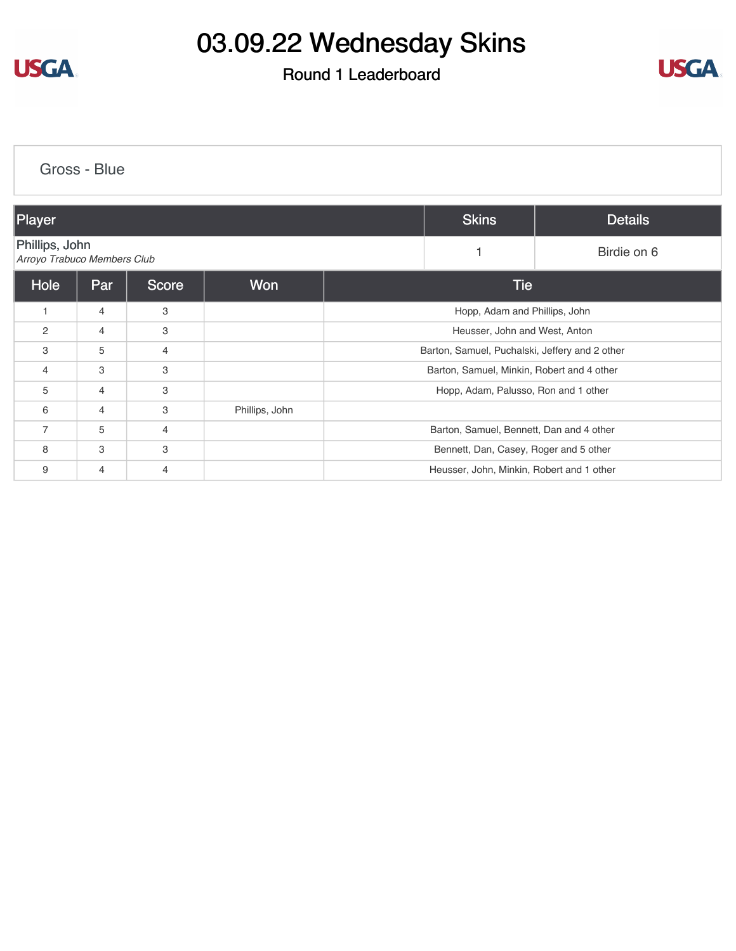

#### Round 1 Leaderboard



| Gross - Blue                                  |                |              |                |  |                                                |                |  |
|-----------------------------------------------|----------------|--------------|----------------|--|------------------------------------------------|----------------|--|
| Player                                        |                |              |                |  | <b>Skins</b>                                   | <b>Details</b> |  |
| Phillips, John<br>Arroyo Trabuco Members Club |                |              |                |  | 1                                              | Birdie on 6    |  |
| Hole                                          | Par            | <b>Score</b> | Won            |  | <b>Tie</b>                                     |                |  |
| $\mathbf{1}$                                  | $\overline{4}$ | 3            |                |  | Hopp, Adam and Phillips, John                  |                |  |
| 2                                             | $\overline{4}$ | 3            |                |  | Heusser, John and West, Anton                  |                |  |
| 3                                             | 5              | 4            |                |  | Barton, Samuel, Puchalski, Jeffery and 2 other |                |  |
| $\overline{4}$                                | 3              | 3            |                |  | Barton, Samuel, Minkin, Robert and 4 other     |                |  |
| 5                                             | $\overline{4}$ | 3            |                |  | Hopp, Adam, Palusso, Ron and 1 other           |                |  |
| 6                                             | $\overline{4}$ | 3            | Phillips, John |  |                                                |                |  |
| $\overline{7}$                                | 5              | 4            |                |  | Barton, Samuel, Bennett, Dan and 4 other       |                |  |
| 8                                             | 3              | 3            |                |  | Bennett, Dan, Casey, Roger and 5 other         |                |  |
| 9                                             | $\overline{4}$ | 4            |                |  | Heusser, John, Minkin, Robert and 1 other      |                |  |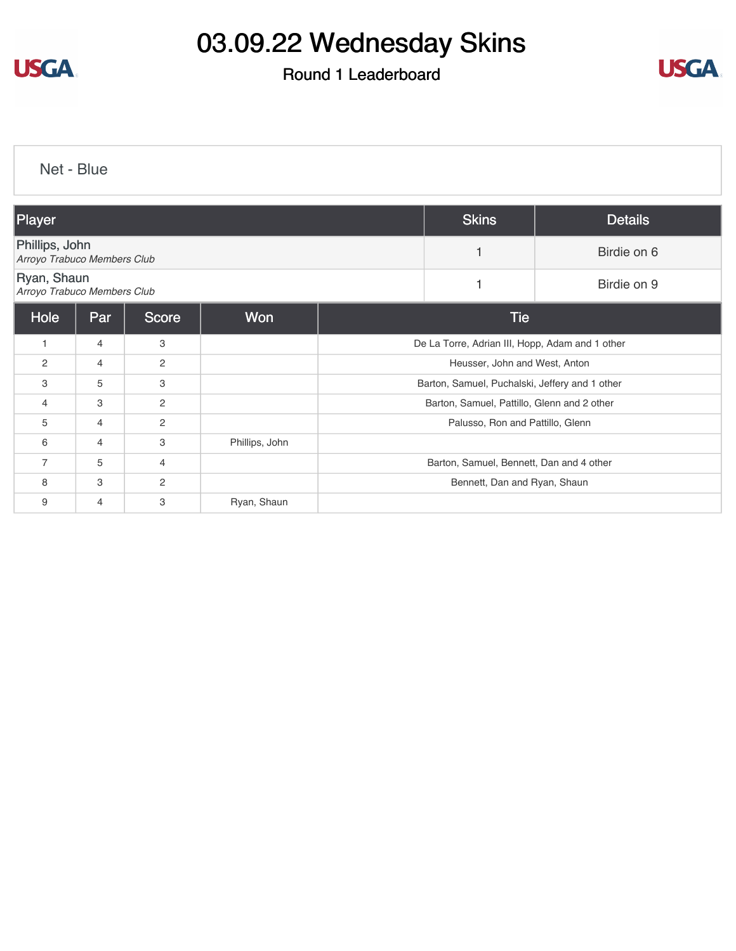

### Round 1 Leaderboard



[Net - Blue](https://cdn2.golfgenius.com/v2tournaments/8283664409956475129?called_from=&round_index=1)

| Player                                        |                |                |                | <b>Skins</b>                                    | <b>Details</b>                           |             |  |
|-----------------------------------------------|----------------|----------------|----------------|-------------------------------------------------|------------------------------------------|-------------|--|
| Phillips, John<br>Arroyo Trabuco Members Club |                |                |                |                                                 |                                          | Birdie on 6 |  |
| Ryan, Shaun<br>Arroyo Trabuco Members Club    |                |                |                |                                                 |                                          | Birdie on 9 |  |
| Hole                                          | <b>Par</b>     | <b>Score</b>   | Won            | <b>Tie</b>                                      |                                          |             |  |
| $\mathbf{1}$                                  | $\overline{4}$ | 3              |                | De La Torre, Adrian III, Hopp, Adam and 1 other |                                          |             |  |
| $\overline{c}$                                | $\overline{4}$ | 2              |                | Heusser, John and West, Anton                   |                                          |             |  |
| 3                                             | 5              | 3              |                | Barton, Samuel, Puchalski, Jeffery and 1 other  |                                          |             |  |
| 4                                             | 3              | $\overline{2}$ |                | Barton, Samuel, Pattillo, Glenn and 2 other     |                                          |             |  |
| 5                                             | 4              | 2              |                | Palusso, Ron and Pattillo, Glenn                |                                          |             |  |
| 6                                             | $\overline{4}$ | 3              | Phillips, John |                                                 |                                          |             |  |
| $\overline{7}$                                | 5              | 4              |                |                                                 | Barton, Samuel, Bennett, Dan and 4 other |             |  |
| 8                                             | 3              | 2              |                |                                                 | Bennett, Dan and Ryan, Shaun             |             |  |
| 9                                             | $\overline{4}$ | 3              | Ryan, Shaun    |                                                 |                                          |             |  |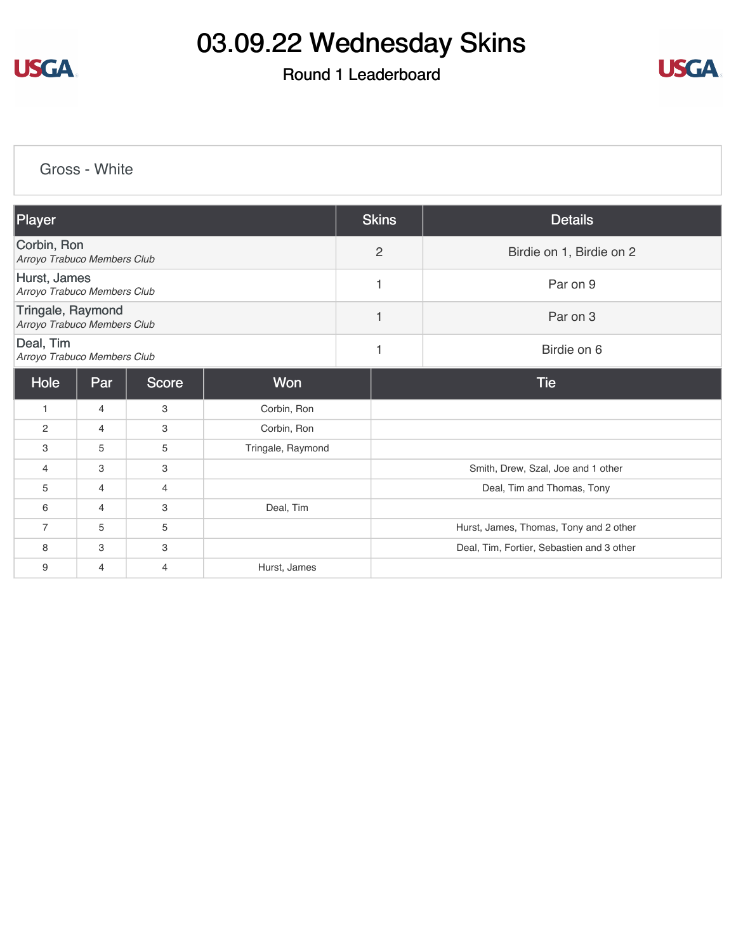

### Round 1 Leaderboard



[Gross - White](https://cdn2.golfgenius.com/v2tournaments/8283665077253464314?called_from=&round_index=1)

| Player                                           |     |       |                   | <b>Skins</b>   | <b>Details</b>                            |  |  |
|--------------------------------------------------|-----|-------|-------------------|----------------|-------------------------------------------|--|--|
|                                                  |     |       |                   |                |                                           |  |  |
| Corbin, Ron<br>Arroyo Trabuco Members Club       |     |       |                   | $\overline{c}$ | Birdie on 1, Birdie on 2                  |  |  |
| Hurst, James<br>Arroyo Trabuco Members Club      |     |       |                   | $\overline{1}$ | Par on 9                                  |  |  |
| Tringale, Raymond<br>Arroyo Trabuco Members Club |     |       |                   | $\mathbf{1}$   | Par on 3                                  |  |  |
| Deal, Tim<br>Arroyo Trabuco Members Club         |     |       |                   | 1              | Birdie on 6                               |  |  |
| Hole                                             | Par | Score | <b>Won</b>        |                | <b>Tie</b>                                |  |  |
| $\mathbf{1}$                                     | 4   | 3     | Corbin, Ron       |                |                                           |  |  |
| $\overline{c}$                                   | 4   | 3     | Corbin, Ron       |                |                                           |  |  |
| 3                                                | 5   | 5     | Tringale, Raymond |                |                                           |  |  |
| $\overline{4}$                                   | 3   | 3     |                   |                | Smith, Drew, Szal, Joe and 1 other        |  |  |
| 5                                                | 4   | 4     |                   |                | Deal, Tim and Thomas, Tony                |  |  |
| 6                                                | 4   | 3     | Deal, Tim         |                |                                           |  |  |
| $\overline{7}$                                   | 5   | 5     |                   |                | Hurst, James, Thomas, Tony and 2 other    |  |  |
| 8                                                | 3   | 3     |                   |                | Deal, Tim, Fortier, Sebastien and 3 other |  |  |
| 9                                                | 4   | 4     | Hurst, James      |                |                                           |  |  |